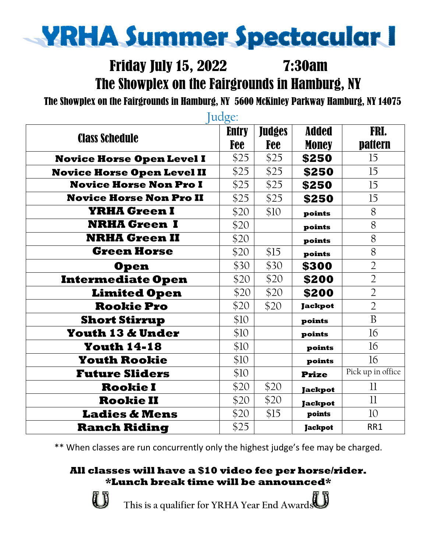# **YRHA Summer Spectacular I**

## Friday July 15, 2022 7:30am The Showplex on the Fairgrounds in Hamburg, NY

The Showplex on the Fairgrounds in Hamburg, NY 5600 McKinley Parkway Hamburg, NY 14075

| Judge:                            |              |               |                |                   |  |  |
|-----------------------------------|--------------|---------------|----------------|-------------------|--|--|
| <b>Class Schedule</b>             | <b>Entry</b> | <b>Judges</b> | <b>Added</b>   | FRI.              |  |  |
|                                   | Fee          | <b>Fee</b>    | <b>Money</b>   | pattern           |  |  |
| <b>Novice Horse Open Level I</b>  | \$25         | \$25          | \$250          | 15                |  |  |
| <b>Novice Horse Open Level II</b> | \$25         | \$25          | \$250          | 15                |  |  |
| <b>Novice Horse Non Pro I</b>     | \$25         | \$25          | \$250          | 15                |  |  |
| <b>Novice Horse Non Pro II</b>    | \$25         | \$25          | \$250          | 15                |  |  |
| <b>YRHA Green I</b>               | \$20         | \$10          | points         | 8                 |  |  |
| <b>NRHA Green I</b>               | \$20         |               | points         | 8                 |  |  |
| <b>NRHA Green II</b>              | \$20         |               | points         | 8                 |  |  |
| <b>Green Horse</b>                | \$20         | \$15          | points         | 8                 |  |  |
| <b>Open</b>                       | \$30         | \$30          | \$300          | $\overline{2}$    |  |  |
| <b>Intermediate Open</b>          | \$20         | \$20          | \$200          | $\overline{2}$    |  |  |
| <b>Limited Open</b>               | \$20         | \$20          | \$200          | $\overline{2}$    |  |  |
| <b>Rookie Pro</b>                 | \$20         | \$20          | <b>Jackpot</b> | $\overline{2}$    |  |  |
| <b>Short Stirrup</b>              | \$10         |               | points         | B                 |  |  |
| <b>Youth 13 &amp; Under</b>       | \$10         |               | points         | 16                |  |  |
| <b>Youth 14-18</b>                | \$10         |               | points         | 16                |  |  |
| <b>Youth Rookie</b>               | \$10         |               | points         | 16                |  |  |
| <b>Future Sliders</b>             | \$10         |               | <b>Prize</b>   | Pick up in office |  |  |
| <b>Rookie I</b>                   | \$20         | \$20          | <b>Jackpot</b> | $_{11}$           |  |  |
| <b>Rookie II</b>                  | \$20         | \$20          | <b>Jackpot</b> | 11                |  |  |
| <b>Ladies &amp; Mens</b>          | \$20         | \$15          | points         | 10                |  |  |
| <b>Ranch Riding</b>               | \$25         |               | <b>Jackpot</b> | RR1               |  |  |

\*\* When classes are run concurrently only the highest judge's fee may be charged.

### **All classes will have a \$10 video fee per horse/rider. \*Lunch break time will be announced\***



**This is a qualifier for YRHA Year End Awards**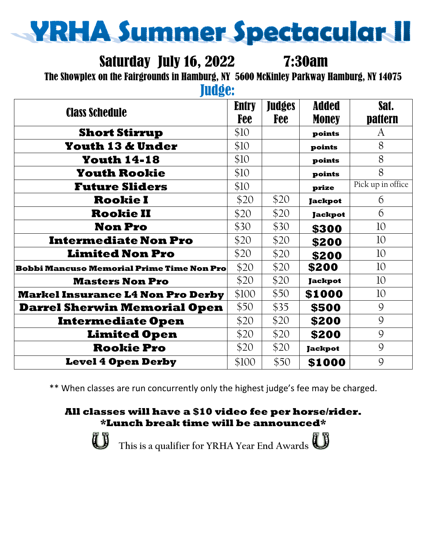

## Saturday July 16, 2022 7:30am

The Showplex on the Fairgrounds in Hamburg, NY 5600 McKinley Parkway Hamburg, NY 14075

Judge:

| <b>Class Schedule</b>                            | <b>Entry</b> | <b>Judges</b><br>Fee | <b>Added</b>   | Sat.              |
|--------------------------------------------------|--------------|----------------------|----------------|-------------------|
|                                                  | Fee          |                      | <b>Money</b>   | pattern           |
| <b>Short Stirrup</b>                             | \$10         |                      | points         | A                 |
| <b>Youth 13 &amp; Under</b>                      | \$10         |                      | points         | 8                 |
| <b>Youth 14-18</b>                               | \$10         |                      | points         | 8                 |
| <b>Youth Rookie</b>                              | \$10         |                      | points         | 8                 |
| <b>Future Sliders</b>                            | \$10         |                      | prize          | Pick up in office |
| <b>Rookie I</b>                                  | \$20         | \$20                 | <b>Jackpot</b> | 6                 |
| <b>Rookie II</b>                                 | \$20         | \$20                 | <b>Jackpot</b> | 6                 |
| <b>Non Pro</b>                                   | \$30         | \$30                 | \$300          | 10                |
| <b>Intermediate Non Pro</b>                      | \$20         | \$20                 | \$200          | 10                |
| <b>Limited Non Pro</b>                           | \$20         | \$20                 | \$200          | 10                |
| <b>Bobbi Mancuso Memorial Prime Time Non Pro</b> | \$20         | \$20                 | \$200          | 10                |
| <b>Masters Non Pro</b>                           | \$20         | \$20                 | <b>Jackpot</b> | 10                |
| <b>Markel Insurance L4 Non Pro Derby</b>         | \$100        | \$50                 | \$1000         | 10                |
| <b>Darrel Sherwin Memorial Open</b>              | \$50         | \$35                 | \$500          | 9                 |
| <b>Intermediate Open</b>                         | \$20         | \$20                 | \$200          | 9                 |
| <b>Limited Open</b>                              | \$20         | \$20                 | \$200          | 9                 |
| <b>Rookie Pro</b>                                | \$20         | \$20                 | <b>Jackpot</b> | 9                 |
| <b>Level 4 Open Derby</b>                        | \$100        | \$50                 | \$1000         | 9                 |

\*\* When classes are run concurrently only the highest judge's fee may be charged.

#### **All classes will have a \$10 video fee per horse/rider. \*Lunch break time will be announced\***



**This is a qualifier for YRHA Year End Awards**